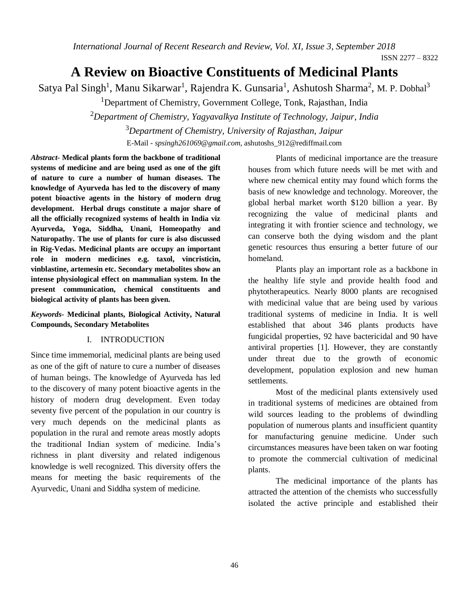# **A Review on Bioactive Constituents of Medicinal Plants**

Satya Pal Singh<sup>1</sup>, Manu Sikarwar<sup>1</sup>, Rajendra K. Gunsaria<sup>1</sup>, Ashutosh Sharma<sup>2</sup>, M. P. Dobhal<sup>3</sup>

<sup>1</sup>Department of Chemistry, Government College, Tonk, Rajasthan, India

<sup>2</sup>*Department of Chemistry, Yagyavalkya Institute of Technology, Jaipur, India* <sup>3</sup>*Department of Chemistry, University of Rajasthan, Jaipur*

E-Mail - *spsingh261069@gmail.com,* [ashutoshs\\_912@rediffmail.com](mailto:ashutoshs_912@rediffmail.com)

*Abstract-* **Medical plants form the backbone of traditional systems of medicine and are being used as one of the gift of nature to cure a number of human diseases. The knowledge of Ayurveda has led to the discovery of many potent bioactive agents in the history of modern drug development. Herbal drugs constitute a major share of all the officially recognized systems of health in India viz Ayurveda, Yoga, Siddha, Unani, Homeopathy and Naturopathy. The use of plants for cure is also discussed in Rig-Vedas. Medicinal plants are occupy an important role in modern medicines e.g. taxol, vincristicin, vinblastine, artemesin etc. Secondary metabolites show an intense physiological effect on mammalian system. In the present communication, chemical constituents and biological activity of plants has been given.**

#### *Keywords-* **Medicinal plants, Biological Activity, Natural Compounds, Secondary Metabolites**

#### I. INTRODUCTION

Since time immemorial, medicinal plants are being used as one of the gift of nature to cure a number of diseases of human beings. The knowledge of Ayurveda has led to the discovery of many potent bioactive agents in the history of modern drug development. Even today seventy five percent of the population in our country is very much depends on the medicinal plants as population in the rural and remote areas mostly adopts the traditional Indian system of medicine. India's richness in plant diversity and related indigenous knowledge is well recognized. This diversity offers the means for meeting the basic requirements of the Ayurvedic, Unani and Siddha system of medicine.

Plants of medicinal importance are the treasure houses from which future needs will be met with and where new chemical entity may found which forms the basis of new knowledge and technology. Moreover, the global herbal market worth \$120 billion a year. By recognizing the value of medicinal plants and integrating it with frontier science and technology, we can conserve both the dying wisdom and the plant genetic resources thus ensuring a better future of our homeland.

Plants play an important role as a backbone in the healthy life style and provide health food and phytotherapeutics. Nearly 8000 plants are recognised with medicinal value that are being used by various traditional systems of medicine in India. It is well established that about 346 plants products have fungicidal properties, 92 have bactericidal and 90 have antiviral properties [1]. However, they are constantly under threat due to the growth of economic development, population explosion and new human settlements.

Most of the medicinal plants extensively used in traditional systems of medicines are obtained from wild sources leading to the problems of dwindling population of numerous plants and insufficient quantity for manufacturing genuine medicine. Under such circumstances measures have been taken on war footing to promote the commercial cultivation of medicinal plants.

The medicinal importance of the plants has attracted the attention of the chemists who successfully isolated the active principle and established their

ISSN 2277 – 8322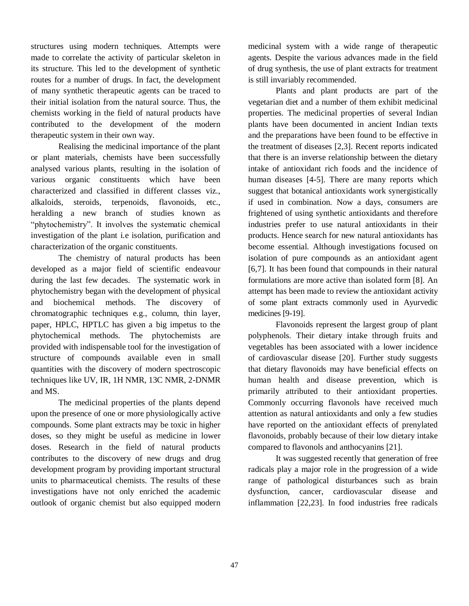structures using modern techniques. Attempts were made to correlate the activity of particular skeleton in its structure. This led to the development of synthetic routes for a number of drugs. In fact, the development of many synthetic therapeutic agents can be traced to their initial isolation from the natural source. Thus, the chemists working in the field of natural products have contributed to the development of the modern therapeutic system in their own way.

Realising the medicinal importance of the plant or plant materials, chemists have been successfully analysed various plants, resulting in the isolation of various organic constituents which have been characterized and classified in different classes viz., alkaloids, steroids, terpenoids, flavonoids, etc., heralding a new branch of studies known as "phytochemistry". It involves the systematic chemical investigation of the plant i.e isolation, purification and characterization of the organic constituents.

The chemistry of natural products has been developed as a major field of scientific endeavour during the last few decades. The systematic work in phytochemistry began with the development of physical and biochemical methods. The discovery of chromatographic techniques e.g., column, thin layer, paper, HPLC, HPTLC has given a big impetus to the phytochemical methods. The phytochemists are provided with indispensable tool for the investigation of structure of compounds available even in small quantities with the discovery of modern spectroscopic techniques like UV, IR, 1H NMR, 13C NMR, 2-DNMR and MS.

The medicinal properties of the plants depend upon the presence of one or more physiologically active compounds. Some plant extracts may be toxic in higher doses, so they might be useful as medicine in lower doses. Research in the field of natural products contributes to the discovery of new drugs and drug development program by providing important structural units to pharmaceutical chemists. The results of these investigations have not only enriched the academic outlook of organic chemist but also equipped modern

medicinal system with a wide range of therapeutic agents. Despite the various advances made in the field of drug synthesis, the use of plant extracts for treatment is still invariably recommended.

Plants and plant products are part of the vegetarian diet and a number of them exhibit medicinal properties. The medicinal properties of several Indian plants have been documented in ancient Indian texts and the preparations have been found to be effective in the treatment of diseases [2,3]. Recent reports indicated that there is an inverse relationship between the dietary intake of antioxidant rich foods and the incidence of human diseases [4-5]. There are many reports which suggest that botanical antioxidants work synergistically if used in combination. Now a days, consumers are frightened of using synthetic antioxidants and therefore industries prefer to use natural antioxidants in their products. Hence search for new natural antioxidants has become essential. Although investigations focused on isolation of pure compounds as an antioxidant agent [6,7]. It has been found that compounds in their natural formulations are more active than isolated form [8]. An attempt has been made to review the antioxidant activity of some plant extracts commonly used in Ayurvedic medicines [9-19].

Flavonoids represent the largest group of plant polyphenols. Their dietary intake through fruits and vegetables has been associated with a lower incidence of cardiovascular disease [20]. Further study suggests that dietary flavonoids may have beneficial effects on human health and disease prevention, which is primarily attributed to their antioxidant properties. Commonly occurring flavonols have received much attention as natural antioxidants and only a few studies have reported on the antioxidant effects of prenylated flavonoids, probably because of their low dietary intake compared to flavonols and anthocyanins [21].

It was suggested recently that generation of free radicals play a major role in the progression of a wide range of pathological disturbances such as brain dysfunction, cancer, cardiovascular disease and inflammation [22,23]. In food industries free radicals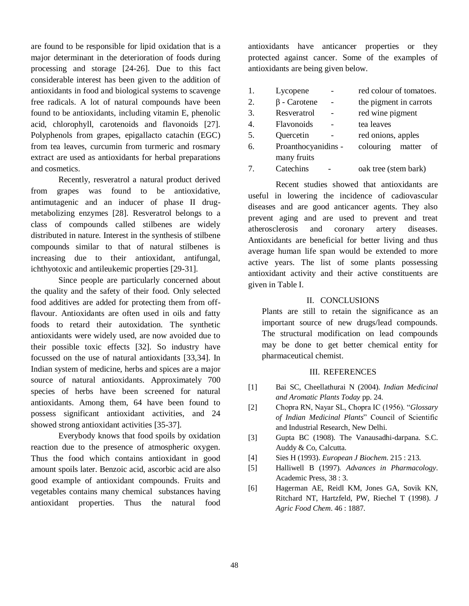are found to be responsible for lipid oxidation that is a major determinant in the deterioration of foods during processing and storage [24-26]. Due to this fact considerable interest has been given to the addition of antioxidants in food and biological systems to scavenge free radicals. A lot of natural compounds have been found to be antioxidants, including vitamin E, phenolic acid, chlorophyll, carotenoids and flavonoids [27]. Polyphenols from grapes, epigallacto catachin (EGC) from tea leaves, curcumin from turmeric and rosmary extract are used as antioxidants for herbal preparations and cosmetics.

Recently, resveratrol a natural product derived from grapes was found to be antioxidative, antimutagenic and an inducer of phase II drugmetabolizing enzymes [28]. Resveratrol belongs to a class of compounds called stilbenes are widely distributed in nature. Interest in the synthesis of stilbene compounds similar to that of natural stilbenes is increasing due to their antioxidant, antifungal, ichthyotoxic and antileukemic properties [29-31].

Since people are particularly concerned about the quality and the safety of their food. Only selected food additives are added for protecting them from offflavour. Antioxidants are often used in oils and fatty foods to retard their autoxidation. The synthetic antioxidants were widely used, are now avoided due to their possible toxic effects [32]. So industry have focussed on the use of natural antioxidants [33,34]. In Indian system of medicine, herbs and spices are a major source of natural antioxidants. Approximately 700 species of herbs have been screened for natural antioxidants. Among them, 64 have been found to possess significant antioxidant activities, and 24 showed strong antioxidant activities [35-37].

Everybody knows that food spoils by oxidation reaction due to the presence of atmospheric oxygen. Thus the food which contains antioxidant in good amount spoils later. Benzoic acid, ascorbic acid are also good example of antioxidant compounds. Fruits and vegetables contains many chemical substances having antioxidant properties. Thus the natural food antioxidants have anticancer properties or they protected against cancer. Some of the examples of antioxidants are being given below.

| 1. | Lycopene            | red colour of tomatoes.   |  |  |
|----|---------------------|---------------------------|--|--|
| 2. | $\beta$ - Carotene  | the pigment in carrots    |  |  |
| 3. | Resveratrol         | red wine pigment          |  |  |
| 4. | Flavonoids          | tea leaves                |  |  |
| 5. | Quercetin           | red onions, apples        |  |  |
| 6. | Proanthocyanidins - | colouring<br>matter<br>of |  |  |
|    | many fruits         |                           |  |  |
|    | Catechins           | oak tree (stem bark)      |  |  |

Recent studies showed that antioxidants are useful in lowering the incidence of cadiovascular diseases and are good anticancer agents. They also prevent aging and are used to prevent and treat atherosclerosis and coronary artery diseases. Antioxidants are beneficial for better living and thus average human life span would be extended to more active years. The list of some plants possessing antioxidant activity and their active constituents are given in Table I.

### II. CONCLUSIONS

Plants are still to retain the significance as an important source of new drugs/lead compounds. The structural modification on lead compounds may be done to get better chemical entity for pharmaceutical chemist.

## III. REFERENCES

- [1] Bai SC, Cheellathurai N (2004). *Indian Medicinal and Aromatic Plants Today* pp. 24.
- [2] Chopra RN, Nayar SL, Chopra IC (1956). "*Glossary of Indian Medicinal Plants*" Council of Scientific and Industrial Research, New Delhi.
- [3] Gupta BC (1908). The Vanausadhi-darpana. S.C. Auddy & Co, Calcutta.
- [4] Sies H (1993). *European J Biochem*. 215 : 213.
- [5] Halliwell B (1997). *Advances in Pharmacology*. Academic Press, 38 : 3.
- [6] Hagerman AE, Reidl KM, Jones GA, Sovik KN, Ritchard NT, Hartzfeld, PW, Riechel T (1998). *J Agric Food Chem*. 46 : 1887.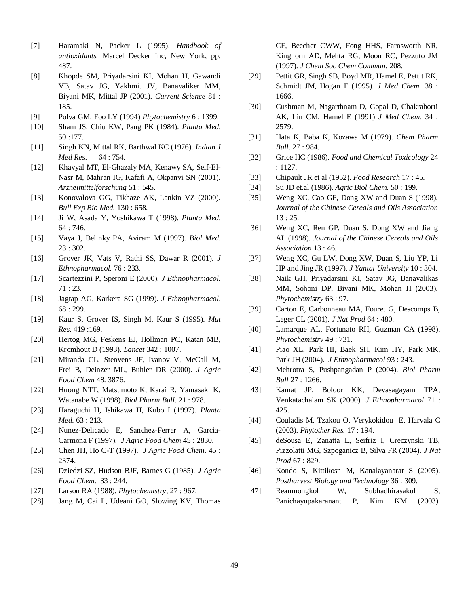- [7] Haramaki N, Packer L (1995). *Handbook of antioxidants.* Marcel Decker Inc, New York, pp. 487.
- [8] Khopde SM, Priyadarsini KI, Mohan H, Gawandi VB, Satav JG, Yakhmi. JV, Banavaliker MM, Biyani MK, Mittal JP (2001). *Current Science* 81 : 185.
- [9] Polva GM, Foo LY (1994) *Phytochemistry* 6 : 1399.
- [10] Sham JS, Chiu KW, Pang PK (1984). *Planta Med*. 50 :177.
- [11] Singh KN, Mittal RK, Barthwal KC (1976). *Indian J Med Res*. 64 : 754.
- [12] Khavyal MT, El-Ghazaly MA, Kenawy SA, Seif-El-Nasr M, Mahran IG, Kafafi A, Okpanvi SN (2001). *Arzneimittelforschung* 51 : 545.
- [13] Konovalova GG, Tikhaze AK, Lankin VZ (2000). *Bull Exp Bio Med.* 130 : 658.
- [14] Ji W, Asada Y, Yoshikawa T (1998). *Planta Med*. 64 : 746.
- [15] Vaya J, Belinky PA, Aviram M (1997). *Biol Med*. 23 : 302.
- [16] Grover JK, Vats V, Rathi SS, Dawar R (2001). *J Ethnopharmacol.* 76 : 233.
- [17] Scartezzini P, Speroni E (2000). *J Ethnopharmacol.*  71 : 23.
- [18] Jagtap AG, Karkera SG (1999). *J Ethnopharmacol*. 68 : 299.
- [19] Kaur S, Grover IS, Singh M, Kaur S (1995). *Mut Res*. 419 :169.
- [20] Hertog MG, Feskens EJ, Hollman PC, Katan MB, Kromhout D (1993). *Lancet* 342 : 1007.
- [21] Miranda CL, Stenvens JF, Ivanov V, McCall M, Frei B, Deinzer ML, Buhler DR (2000). *J Agric Food Chem* 48. 3876.
- [22] Huong NTT, Matsumoto K, Karai R, Yamasaki K, Watanabe W (1998). *Biol Pharm Bull*. 21 : 978.
- [23] Haraguchi H, Ishikawa H, Kubo I (1997). *Planta Med*. 63 : 213.
- [24] Nunez-Delicado E, Sanchez-Ferrer A, Garcia-Carmona F (1997). *J Agric Food Chem* 45 : 2830.
- [25] Chen JH, Ho C-T (1997). *J Agric Food Chem*. 45 : 2374.
- [26] Dziedzi SZ, Hudson BJF, Barnes G (1985). *J Agric Food Chem*. 33 : 244.
- [27] Larson RA (1988). *Phytochemistry*, 27 : 967.
- [28] Jang M, Cai L, Udeani GO, Slowing KV, Thomas

CF, Beecher CWW, Fong HHS, Farnsworth NR, Kinghorn AD, Mehta RG, Moon RC, Pezzuto JM (1997). *J Chem Soc Chem Commun*. 208.

- [29] Pettit GR, Singh SB, Boyd MR, Hamel E, Pettit RK, Schmidt JM, Hogan F (1995). *J Med Chem*. 38 : 1666.
- [30] Cushman M, Nagarthnam D, Gopal D, Chakraborti AK, Lin CM, Hamel E (1991) *J Med Chem.* 34 : 2579.
- [31] Hata K, Baba K, Kozawa M (1979). *Chem Pharm Bull*. 27 : 984.
- [32] Grice HC (1986). *Food and Chemical Toxicology* 24 : 1127.
- [33] Chipault JR et al (1952). *Food Research* 17 : 45.
- [34] Su JD et.al (1986). *Agric Biol Chem*. 50 : 199.
- [35] Weng XC, Cao GF, Dong XW and Duan S (1998). *Journal of the Chinese Cereals and Oils Association* 13 : 25.
- [36] Weng XC, Ren GP, Duan S, Dong XW and Jiang AL (1998). *Journal of the Chinese Cereals and Oils Association* 13 : 46.
- [37] Weng XC, Gu LW, Dong XW, Duan S, Liu YP, Li HP and Jing JR (1997). *J Yantai University* 10 : 304.
- [38] Naik GH, Priyadarsini KI, Satav JG, Banavalikas MM, Sohoni DP, Biyani MK, Mohan H (2003). *Phytochemistry* 63 : 97.
- [39] Carton E, Carbonneau MA, Fouret G, Descomps B, Leger CL (2001). *J Nat Prod* 64 : 480.
- [40] Lamarque AL, Fortunato RH, Guzman CA (1998). *Phytochemistry* 49 : 731.
- [41] Piao XL, Park HI, Baek SH, Kim HY, Park MK, Park JH (2004). *J Ethnopharmacol* 93 : 243.
- [42] Mehrotra S, Pushpangadan P (2004). *Biol Pharm Bull* 27 : 1266.
- [43] Kamat JP, Boloor KK, Devasagayam TPA, Venkatachalam SK (2000). *J Ethnopharmacol* 71 : 425.
- [44] Couladis M, Tzakou O, Verykokidou E, Harvala C (2003). *Phytother Res.* 17 : 194.
- [45] deSousa E, Zanatta L, Seifriz I, Creczynski TB, Pizzolatti MG, Szpoganicz B, Silva FR (2004). *J Nat Prod* 67 : 829.
- [46] Kondo S, Kittikosn M, Kanalayanarat S (2005). *Postharvest Biology and Technology* 36 : 309.
- [47] Reanmongkol W, Subhadhirasakul S, Panichayupakaranant P, Kim KM (2003).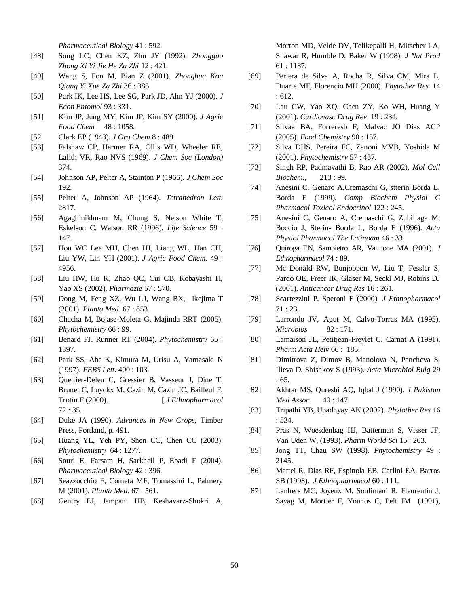*Pharmaceutical Biology* 41 : 592.

- [48] Song LC, Chen KZ, Zhu JY (1992). *Zhongguo Zhong Xi Yi Jie He Za Zhi* 12 : 421.
- [49] Wang S, Fon M, Bian Z (2001). *Zhonghua Kou Qiang Yi Xue Za Zhi* 36 : 385.
- [50] Park IK, Lee HS, Lee SG, Park JD, Ahn YJ (2000). *J Econ Entomol* 93 : 331.
- [51] Kim JP, Jung MY, Kim JP, Kim SY (2000). *J Agric Food Chem* 48 : 1058.
- [52 Clark EP (1943). *J Org Chem* 8 : 489.
- [53] Falshaw CP, Harmer RA, Ollis WD, Wheeler RE, Lalith VR, Rao NVS (1969). *J Chem Soc (London)*  374.
- [54] Johnson AP, Pelter A, Stainton P (1966). *J Chem Soc* 192.
- [55] Pelter A, Johnson AP (1964). *Tetrahedron Lett.*  2817.
- [56] Agaghinikhnam M, Chung S, Nelson White T, Eskelson C, Watson RR (1996). *Life Science* 59 : 147.
- [57] Hou WC Lee MH, Chen HJ, Liang WL, Han CH, Liu YW, Lin YH (2001). *J Agric Food Chem.* 49 : 4956.
- [58] Liu HW, Hu K, Zhao QC, Cui CB, Kobayashi H, Yao XS (2002). *Pharmazie* 57 : 570.
- [59] Dong M, Feng XZ, Wu LJ, Wang BX, Ikejima T (2001). *Planta Med*. 67 : 853.
- [60] Chacha M, Bojase-Moleta G, Majinda RRT (2005). *Phytochemistry* 66 : 99.
- [61] Benard FJ, Runner RT (2004). *Phytochemistry* 65 : 1397.
- [62] Park SS, Abe K, Kimura M, Urisu A, Yamasaki N (1997). *FEBS Lett*. 400 : 103.
- [63] Quettier-Deleu C, Gressier B, Vasseur J, Dine T, Brunet C, Luyckx M, Cazin M, Cazin JC, Bailleul F, Trotin F (2000).  $[J\ Eth no pharmacol]$ 72 : 35.
- [64] Duke JA (1990). *Advances in New Crops,* Timber Press, Portland, p. 491.
- [65] Huang YL, Yeh PY, Shen CC, Chen CC (2003). *Phytochemistry* 64 : 1277.
- [66] Souri E, Farsam H, Sarkheil P, Ebadi F (2004). *Pharmaceutical Biology* 42 : 396.
- [67] Seazzocchio F, Cometa MF, Tomassini L, Palmery M (2001). *Planta Med*. 67 : 561.
- [68] Gentry EJ, Jampani HB, Keshavarz-Shokri A,

Morton MD, Velde DV, Telikepalli H, Mitscher LA, Shawar R, Humble D, Baker W (1998). *J Nat Prod*  61 : 1187.

- [69] Periera de Silva A, Rocha R, Silva CM, Mira L, Duarte MF, Florencio MH (2000). *Phytother Res.* 14 : 612.
- [70] Lau CW, Yao XQ, Chen ZY, Ko WH, Huang Y (2001). *Cardiovasc Drug Rev*. 19 : 234.
- [71] Silvaa BA, Forreresb F, Malvac JO Dias ACP (2005). *Food Chemistry* 90 : 157.
- [72] Silva DHS, Pereira FC, Zanoni MVB, Yoshida M (2001). *Phytochemistry* 57 : 437.
- [73] Singh RP, Padmavathi B, Rao AR (2002). *Mol Cell Biochem.,* 213 : 99.
- [74] Anesini C, Genaro A,Cremaschi G, stterin Borda L, Borda E (1999). *Comp Biochem Physiol C Pharmacol Toxicol Endocrinol* 122 : 245.
- [75] Anesini C, Genaro A, Cremaschi G, Zubillaga M, Boccio J, Sterin- Borda L, Borda E (1996). *Acta Physiol Pharmacol The Latinoam* 46 : 33.
- [76] Quiroga EN, Sampietro AR, Vattuone MA (2001). *J Ethnopharmacol* 74 : 89.
- [77] Mc Donald RW, Bunjobpon W, Liu T, Fessler S, Pardo OE, Freer IK, Glaser M, Seckl MJ, Robins DJ (2001). *Anticancer Drug Res* 16 : 261.
- [78] Scartezzini P, Speroni E (2000). *J Ethnopharmacol* 71 : 23.
- [79] Larrondo JV, Agut M, Calvo-Torras MA (1995). *Microbios* 82 : 171.
- [80] Lamaison JL, Petitjean-Freylet C, Carnat A (1991). *Pharm Acta Helv* 66 : 185.
- [81] Dimitrova Z, Dimov B, Manolova N, Pancheva S, Ilieva D, Shishkov S (1993). *Acta Microbiol Bulg* 29 : 65.
- [82] Akhtar MS, Qureshi AQ, Iqbal J (1990). *J Pakistan Med Assoc* 40 : 147.
- [83] Tripathi YB, Upadhyay AK (2002). *Phytother Res* 16 : 534.
- [84] Pras N, Woesdenbag HJ, Batterman S, Visser JF, Van Uden W, (1993). *Pharm World Sci* 15 : 263.
- [85] Jong TT, Chau SW (1998). *Phytochemistry* 49 : 2145.
- [86] Mattei R, Dias RF, Espinola EB, Carlini EA, Barros SB (1998). *J Ethnopharmacol* 60 : 111.
- [87] Lanhers MC, Joyeux M, Soulimani R, Fleurentin J, Sayag M, Mortier F, Younos C, Pelt JM (1991),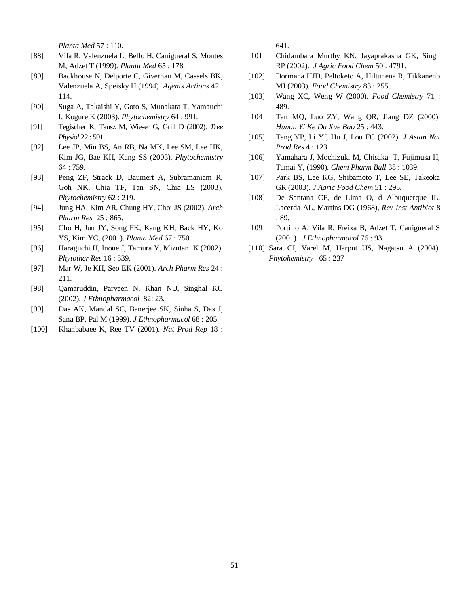*Planta Med* 57 : 110.

- [88] Vila R, Valenzuela L, Bello H, Canigueral S, Montes M, Adzet T (1999). *Planta Med* 65 : 178.
- [89] Backhouse N, Delporte C, Givernau M, Cassels BK, Valenzuela A, Speisky H (1994). *Agents Actions* 42 : 114.
- [90] Suga A, Takaishi Y, Goto S, Munakata T, Yamauchi I, Kogure K (2003). *Phytochemistry* 64 : 991.
- [91] Tegischer K, Tausz M, Wieser G, Grill D (2002). *Tree Physiol* 22 : 591.
- [92] Lee JP, Min BS, An RB, Na MK, Lee SM, Lee HK, Kim JG, Bae KH, Kang SS (2003). *Phytochemistry*  64 : 759.
- [93] Peng ZF, Strack D, Baumert A, Subramaniam R, Goh NK, Chia TF, Tan SN, Chia LS (2003). *Phytochemistry* 62 : 219.
- [94] Jung HA, Kim AR, Chung HY, Choi JS (2002). *Arch Pharm Res* 25 : 865.
- [95] Cho H, Jun JY, Song FK, Kang KH, Back HY, Ko YS, Kim YC, (2001). *Planta Med* 67 : 750.
- [96] Haraguchi H, Inoue J, Tamura Y, Mizutani K (2002). *Phytother Res* 16 : 539.
- [97] Mar W, Je KH, Seo EK (2001). *Arch Pharm Res* 24 : 211.
- [98] Qamaruddin, Parveen N, Khan NU, Singhal KC (2002). *J Ethnopharmacol* 82: 23.
- [99] Das AK, Mandal SC, Banerjee SK, Sinha S, Das J, Sana BP, Pal M (1999). *J Ethnopharmacol* 68 : 205.
- [100] Khanbabaee K, Ree TV (2001). *Nat Prod Rep* 18 :

641.

- [101] Chidambara Murthy KN, Jayaprakasha GK, Singh RP (2002). *J Agric Food Chem* 50 : 4791.
- [102] Dormana HJD, Peltoketo A, Hiltunena R, Tikkanenb MJ (2003). *Food Chemistry* 83 : 255.
- [103] Wang XC, Weng W (2000). *Food Chemistry* 71 : 489.
- [104] Tan MQ, Luo ZY, Wang QR, Jiang DZ (2000). *Hunan Yi Ke Da Xue Bao* 25 : 443.
- [105] Tang YP, Li Yf, Hu J, Lou FC (2002). *J Asian Nat Prod Res* 4 : 123.
- [106] Yamahara J, Mochizuki M, Chisaka T, Fujimusa H, Tamai Y, (1990). *Chem Pharm Bull* 38 : 1039.
- [107] Park BS, Lee KG, Shibamoto T, Lee SE, Takeoka GR (2003). *J Agric Food Chem* 51 : 295.
- [108] De Santana CF, de Lima O, d Albuquerque IL, Lacerda AL, Martins DG (1968), *Rev Inst Antibiot* 8 : 89.
- [109] Portillo A, Vila R, Freixa B, Adzet T, Canigueral S (2001). *J Ethnopharmacol* 76 : 93.
- [110] Sara CI, Varel M, Harput US, Nagatsu A (2004). *Phytohemistry* 65 : 237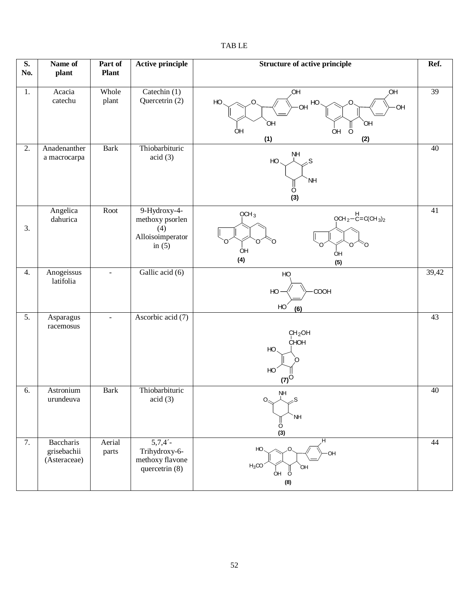| S.<br>No.        | Name of<br>plant                                | Part of<br><b>Plant</b> | <b>Active principle</b>                                                | <b>Structure of active principle</b>                                                 | Ref.            |
|------------------|-------------------------------------------------|-------------------------|------------------------------------------------------------------------|--------------------------------------------------------------------------------------|-----------------|
| 1.               | Acacia<br>catechu                               | Whole<br>plant          | Catechin (1)<br>Quercetrin (2)                                         | ,OH<br>Ю,<br>HO<br>HO<br>OH<br>OH<br>`OH<br>ÒН<br>ÒΗ<br><b>OH</b><br>Ö<br>(2)<br>(1) | $\overline{39}$ |
| 2.               | Anadenanther<br>a macrocarpa                    | <b>Bark</b>             | Thiobarbituric<br>acid(3)                                              | NΗ<br>HO.<br>.S<br>NH<br>O<br>(3)                                                    | 40              |
| 3.               | Angelica<br>dahurica                            | Root                    | 9-Hydroxy-4-<br>methoxy psorlen<br>(4)<br>Alloisoimperator<br>in $(5)$ | OCH <sub>3</sub><br>$OCH_2-C=C(CH_3)_2$<br>ი<br>O<br>ÒΗ<br>ÒΗ<br>(4)<br>(5)          | 41              |
| 4.               | Anogeissus<br>latifolia                         | $\mathbf{r}$            | Gallic acid (6)                                                        | HO<br>COOH<br>HO<br>HO<br>(6)                                                        | 39,42           |
| $\overline{5}$ . | Asparagus<br>racemosus                          | $\equiv$                | Ascorbic acid (7)                                                      | CH <sub>2</sub> OH<br>CHOH<br>HO.<br>HO<br>$(7)^{\circ}$                             | 43              |
| 6.               | Astronium<br>urundeuva                          | <b>Bark</b>             | Thiobarbituric<br>acid(3)                                              | NH<br>人<br>$\Omega_{\rm s}$<br>S<br>NH<br>O<br>(3)                                   | $40\,$          |
| 7.               | <b>Baccharis</b><br>grisebachii<br>(Asteraceae) | Aerial<br>parts         | 5,7,4'<br>Trihydroxy-6-<br>methoxy flavone<br>quercetrin (8)           | HO<br>,O<br>OН<br>$H_3CO$<br>ЮH<br><b>OH</b><br>$\circ$<br>(8)                       | 44              |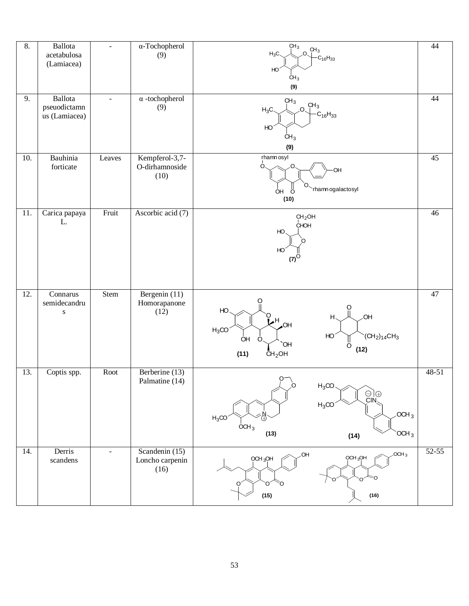| 8.  | Ballota<br>acetabulosa<br>(Lamiacea)     | $\omega$       | α-Tochopherol<br>(9)                      | CH <sub>3</sub><br>$.0.$ <sup>CH<sub>3</sub></sup><br>$H_3C$<br>$-C_{16}H_{33}$<br>HO <sup>1</sup><br>CH <sub>3</sub><br>(9)                             | 44        |
|-----|------------------------------------------|----------------|-------------------------------------------|----------------------------------------------------------------------------------------------------------------------------------------------------------|-----------|
| 9.  | Ballota<br>pseuodictamn<br>us (Lamiacea) | $\blacksquare$ | $\alpha$ -tochopherol<br>(9)              | CH <sub>3</sub><br>CH <sub>3</sub><br>$H_3C$<br>Ω.<br>$C_{16}H_{33}$<br>HO <sup>1</sup><br>CH <sub>3</sub><br>(9)                                        | 44        |
| 10. | Bauhinia<br>forticate                    | Leaves         | Kempferol-3,7-<br>O-dirhamnoside<br>(10)  | rhamn osyl<br>О.<br>OH<br>O.<br>rhamn ogalactosyl<br>OH<br>$\circ$<br>(10)                                                                               | 45        |
| 11. | Carica papaya<br>L.                      | Fruit          | Ascorbic acid (7)                         | CH <sub>2</sub> OH<br>CHOH<br>HO<br>HO<br>$(7)^{\circ}$                                                                                                  | 46        |
| 12. | Connarus<br>semidecandru<br>${\bf S}$    | Stem           | Bergenin (11)<br>Homorapanone<br>(12)     | O<br>HO<br>O<br><b>OH</b><br>H<br>Ľ۲<br>$\overline{A}$<br>$H_3CO$<br>HO<br>$(CH2)14CH3$<br>ÒH<br>O<br>ő<br>`OH<br>(12)<br>(11)<br>CH <sub>2</sub> OH     | $47\,$    |
| 13. | Coptis spp.                              | Root           | Berberine (13)<br>Palmatine (14)          | $\rho$<br>$\partial$<br>$H_3CO$<br>$\odot \odot \odot$<br>$H_3CO$<br>OCH <sub>3</sub><br>$H_3CO$<br>OCH <sub>3</sub><br>(13)<br>OCH <sub>3</sub><br>(14) | 48-51     |
| 14. | Derris<br>scandens                       | $\sim$         | Scandenin (15)<br>Loncho carpenin<br>(16) | $OCH_3$<br>.OH<br>$OCH_3OH$<br>$OCH_3OH$<br>Ω<br>Õ<br>O<br>Ω<br>O<br>(15)<br>(16)                                                                        | $52 - 55$ |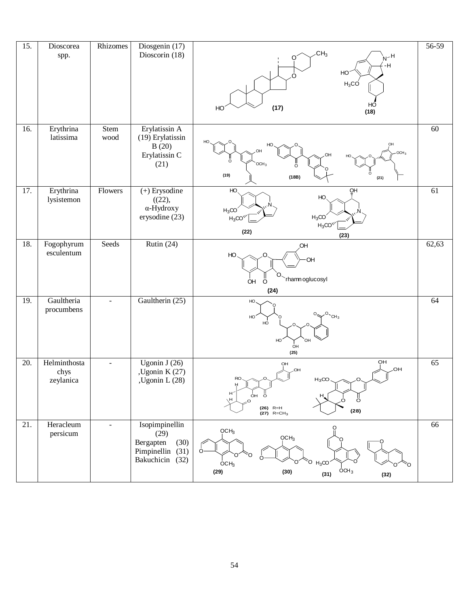| 15.               | Dioscorea<br>spp.                 | Rhizomes            | Diosgenin (17)<br>Dioscorin (18)                                                   | CH <sub>3</sub><br>$H-M$<br>∩<br>٠H<br>HO <sup>®</sup><br>Ω<br>$H_3CO$<br>HO<br>(17)<br>HO<br>(18)                                                               | 56-59 |
|-------------------|-----------------------------------|---------------------|------------------------------------------------------------------------------------|------------------------------------------------------------------------------------------------------------------------------------------------------------------|-------|
| 16.               | Erythrina<br>latissima            | <b>Stem</b><br>wood | Erylatissin A<br>(19) Erylatissin<br>B(20)<br>Erylatissin C<br>(21)                | OH<br>OCH <sub>3</sub><br>OH<br>ö<br>OCH <sub>3</sub><br>ö<br>(19)<br>(18B)<br>(21)                                                                              | 60    |
| 17.               | Erythrina<br>lysistemon           | Flowers             | $(+)$ Erysodine<br>((22),<br>α-Hydroxy<br>erysodine (23)                           | HO<br>QH<br>HO.<br>$H_3CO$<br>$H_3CO$<br>$H_3CO1$<br>$H_3CO$ <sup>W</sup><br>(22)<br>(23)                                                                        | 61    |
| 18.               | Fogophyrum<br>esculentum          | Seeds               | Rutin $(24)$                                                                       | ,OH<br>HO<br>·OH<br>O<br>rhamn oglucosyl<br>OH<br>Ö<br>(24)                                                                                                      | 62,63 |
| 19.               | Gaultheria<br>procumbens          |                     | Gaultherin (25)                                                                    | HO<br>$2^0$ CH <sub>3</sub><br>HO.<br>HO<br>HO <sup>1</sup><br>OH<br>OH<br>(25)                                                                                  | 64    |
| 20.               | Helminthosta<br>chys<br>zeylanica | $\sim$              | Ugonin J $(26)$<br>, Ugonin K $(27)$<br>Ugonin L (28)                              | OH<br>OH<br>.OH<br>OH<br>RO.<br>$H_3CO$<br>H<br>H <sup>2</sup><br>ÓН<br>ö<br>$H_{\star}$<br>$\sigma$<br>H<br>O<br>$(26)$ R=H<br>(28)<br>$(27)$ R=CH <sub>3</sub> | 65    |
| $\overline{21}$ . | Heracleum<br>persicum             |                     | Isopimpinellin<br>(29)<br>Bergapten<br>(30)<br>Pimpinellin (31)<br>Bakuchicin (32) | QCH <sub>3</sub><br>OCH <sub>3</sub><br>$O-$<br>റ<br>Ó.<br>$H_3$ CO<br>$\overline{O}CH3$<br>OCH <sub>3</sub><br>(29)<br>(30)<br>(31)<br>(32)                     | 66    |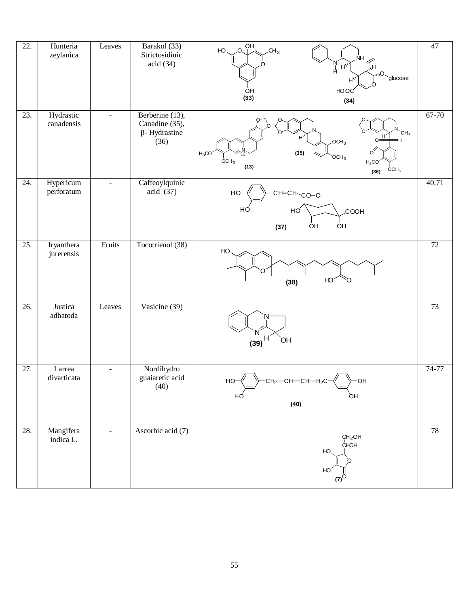| 22. | Hunteria<br>zeylanica    | Leaves         | Barakol (33)<br>Strictosidinic<br>acid(34)                        | $0\sqrt{P}$<br>HO<br>CH <sub>3</sub><br>$\mathbb{R}^N$<br>$H_{\nu}$<br>acose <sup>(im)</sup><br>$H^V$<br>ÒН<br>HO OC<br>(33)<br>(34)                                  | 47              |
|-----|--------------------------|----------------|-------------------------------------------------------------------|-----------------------------------------------------------------------------------------------------------------------------------------------------------------------|-----------------|
| 23. | Hydrastic<br>canadensis  | $\equiv$       | Berberine (13),<br>Canadine (35),<br>$\beta$ - Hydrastine<br>(36) | CH <sub>3</sub><br>H<br>$H^{\prime}$<br>20CH <sub>3</sub><br>(35)<br>$H_3CO$<br>OCH <sub>3</sub><br>OCH <sub>3</sub><br>$H_3CO$<br>(13)<br>$\overline{O}CH_3$<br>(36) | 67-70           |
| 24. | Hypericum<br>perforatum  | $\blacksquare$ | Caffeoylquinic<br>acid (37)                                       | HO-<br>CH=CH-CO-O<br>HÓ<br>HO<br><b>COOH</b><br>ÓΗ<br><b>OH</b><br>(37)                                                                                               | 40,71           |
| 25. | Iryanthera<br>jurerensis | Fruits         | Tocotrienol (38)                                                  | HO<br>HO<br>ი<br>(38)                                                                                                                                                 | $\overline{72}$ |
| 26. | Justica<br>adhatoda      | Leaves         | Vasicine (39)                                                     | Н<br><b>OH</b><br>(39)                                                                                                                                                | 73              |
| 27. | Larrea<br>divarticata    |                | Nordihydro<br>guaiaretic acid<br>(40)                             | $cH_2$ - $cH$ - $cH$ - $H_2c$ $\mathcal{N}$ $\rightarrow$ $oH$<br>HO-<br>HÓ<br>OH<br>(40)                                                                             | 74-77           |
| 28. | Mangifera<br>indica L.   | $\sim$         | Ascorbic acid (7)                                                 | CH <sub>2</sub> OH<br>CHOH<br>HO<br>HO<br>(7)                                                                                                                         | 78              |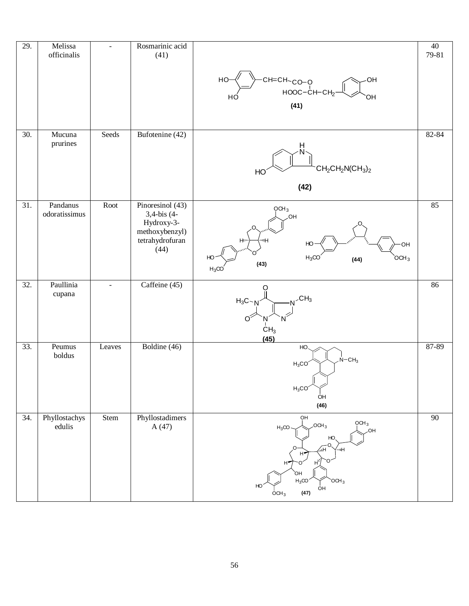| 29.               | Melissa<br>officinalis    | $\omega$       | Rosmarinic acid<br>(41)                                                                    |                                                                                                                                                                                                                             | $\overline{40}$<br>79-81 |
|-------------------|---------------------------|----------------|--------------------------------------------------------------------------------------------|-----------------------------------------------------------------------------------------------------------------------------------------------------------------------------------------------------------------------------|--------------------------|
|                   |                           |                |                                                                                            | -CH=CH- <sub>CO-Q</sub><br>-HOOC-CH-CH <sub>2</sub><br>HO-<br>ΟH<br>HC<br>OH<br>(41)                                                                                                                                        |                          |
| $\overline{30}$ . | Mucuna<br>prurines        | Seeds          | Bufotenine (42)                                                                            | $CH_2CH_2N(CH_3)_2$<br>HO<br>(42)                                                                                                                                                                                           | 82-84                    |
| 31.               | Pandanus<br>odoratissimus | Root           | Pinoresinol (43)<br>3,4-bis (4-<br>Hydroxy-3-<br>methoxybenzyl)<br>tetrahydrofuran<br>(44) | QCH <sub>3</sub><br>OH<br>$H^{\mu\nu}$<br>шΗ<br><b>OH</b><br>HO<br>$H_3CO$<br>OCH <sub>3</sub><br>(44)<br>(43)<br>$H_3$ CC                                                                                                  | 85                       |
| $\overline{32}$ . | Paullinia<br>cupana       | $\blacksquare$ | Caffeine (45)                                                                              | O<br>CH <sub>3</sub><br>$H_3C - N$<br>CH <sub>3</sub><br>(45)                                                                                                                                                               | 86                       |
| 33.               | Peumus<br>boldus          | Leaves         | Boldine (46)                                                                               | HO<br>$N - CH3$<br>$H_3CO$<br>$H_3CO$<br><b>OH</b><br>(46)                                                                                                                                                                  | 87-89                    |
| 34.               | Phyllostachys<br>edulis   | Stem           | Phyllostadimers<br>A(47)                                                                   | OH<br>QCH <sub>3</sub><br>20CH <sub>3</sub><br>$H_3CO$<br>.OH<br>HO,<br>٠O.<br>$\overline{\mathsf{H}\nu}$<br>⁄ н<br>H۳<br>H<br>н,<br>ЮÍ<br>$H_3CO$<br>OCH <sub>3</sub><br>HO <sup>1</sup><br>ÒН<br>(47)<br>OCH <sub>3</sub> | 90                       |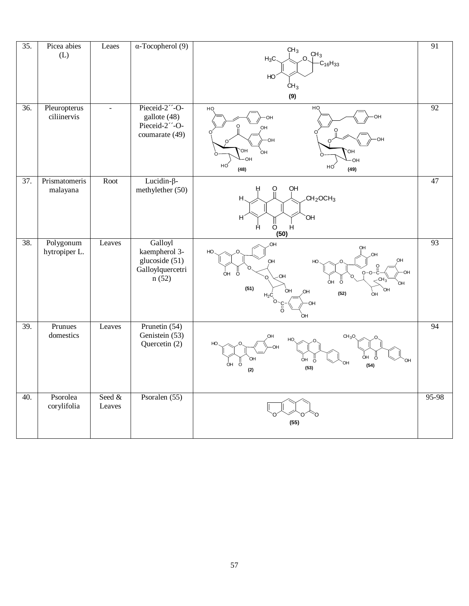| $\overline{35}$ . | Picea abies<br>(L)          | Leaes            | $\alpha$ -Tocopherol (9)                                                | CH <sub>3</sub><br>CH <sub>3</sub><br>$\Omega$<br>$H_3C$<br>$-C_{16}H_{33}$<br>HO <sup>-</sup><br>CH <sub>3</sub><br>(9)                    | 91              |
|-------------------|-----------------------------|------------------|-------------------------------------------------------------------------|---------------------------------------------------------------------------------------------------------------------------------------------|-----------------|
| $\overline{36}$ . | Pleuropterus<br>ciliinervis | $\blacksquare$   | Pieceid-2"-O-<br>gallote (48)<br>Pieceid-2"-O-<br>coumarate (49)        | HQ<br>HQ<br>OН<br>O<br>OH<br>OН<br>OН<br><b>OH</b><br>OH<br>ÒН<br>OH<br>OH<br>HO<br>НÓ<br>(48)<br>(49)                                      | 92              |
| $\overline{37}$ . | Prismatomeris<br>malayana   | Root             | Lucidin- $\beta$ -<br>methylether (50)                                  | OH<br>O<br>CH <sub>2</sub> OCH <sub>3</sub><br>Н<br>H<br>OH<br>Ö<br>Н<br>Н<br>(50)                                                          | 47              |
| 38.               | Polygonum<br>hytropiper L.  | Leaves           | Galloyl<br>kaempherol 3-<br>glucoside (51)<br>Galloylquercetri<br>n(52) | OH<br>OH<br>HO<br>OH<br>ő<br>o-o-ë<br>ÒН<br>nн<br>-CH <sub>3</sub><br>Ö<br>ÒН<br>(51)<br>`ОН<br>OH<br>(52)<br>ÒН<br>$H_2C$<br>Ö.<br>ö<br>OH | 93              |
| 39.               | Prunues<br>domestics        | Leaves           | Prunetin $(54)$<br>Genistein (53)<br>Quercetin (2)                      | CH <sub>2</sub><br>HO<br>ÒН<br>ö<br>ÒН<br>ÒН<br>Ö<br>ÒН<br>Ö<br>(54)<br>(53)<br>(2)                                                         | $\overline{94}$ |
| 40.               | Psorolea<br>corylifolia     | Seed &<br>Leaves | Psoralen (55)                                                           | (55)                                                                                                                                        | 95-98           |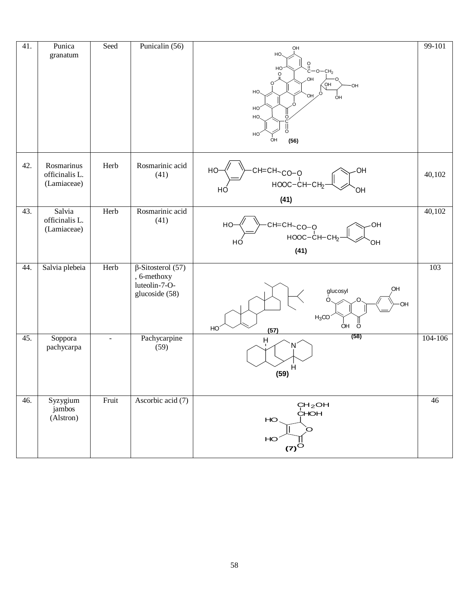| 41. | Punica<br>granatum                          | Seed           | Punicalin (56)                                                             | OH<br>HO.<br>ဂူ<br>HO<br>$O - CH2$<br>$\circ$<br>OH.<br>OH<br>OH<br>HO.<br>O.<br>OH<br>ÒН<br>HO <sup>®</sup><br>HO.<br>∩<br>HO<br>OH<br>(56) | 99-101  |
|-----|---------------------------------------------|----------------|----------------------------------------------------------------------------|----------------------------------------------------------------------------------------------------------------------------------------------|---------|
| 42. | Rosmarinus<br>officinalis L.<br>(Lamiaceae) | Herb           | Rosmarinic acid<br>(41)                                                    | CH=CH-CO-O<br>HO<br>OH<br>$HOOC-CH-CH2$<br>OΗ<br>HO<br>(41)                                                                                  | 40,102  |
| 43. | Salvia<br>officinalis L.<br>(Lamiaceae)     | Herb           | Rosmarinic acid<br>(41)                                                    | сн=сн <sub>~со−о</sub><br>ноос−сн−сн <sub>2</sub><br>HO-<br>OH<br>HÓ<br>OН<br>(41)                                                           | 40,102  |
| 44. | Salvia plebeia                              | Herb           | $\beta$ -Sitosterol (57)<br>, 6-methoxy<br>luteolin-7-O-<br>glucoside (58) | OH<br>glucosyl<br>O<br>OH<br>$H_3CO$<br>ÒН<br>Ö<br>HO<br>(57)                                                                                | 103     |
| 45. | Soppora<br>pachycarpa                       | $\blacksquare$ | Pachycarpine<br>(59)                                                       | (58)<br>Ĥ<br>Ĥ<br>(59)                                                                                                                       | 104-106 |
| 46. | Syzygium<br>jambos<br>(Alstron)             | Fruit          | Ascorbic acid (7)                                                          | CH <sub>2</sub> OH<br>CHOH<br>HO<br>O<br>HO<br>$(7)^{\circ}$                                                                                 | 46      |